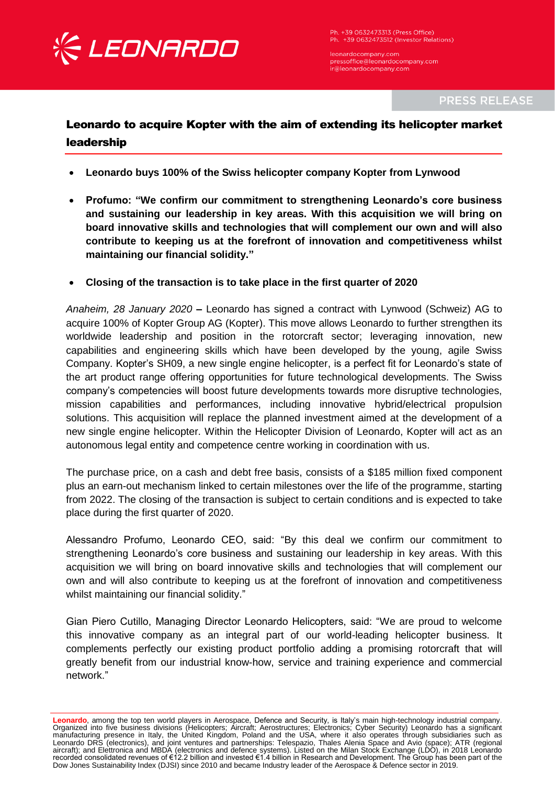

Ph. +39 0632473313 (Press Office) Ph. +39 0632473512 (Investor Relations)

leonardocompany.com pressoffice@leonardocompany.com ir@leonardocompany.com

**PRESS RELEASE** 

## Leonardo to acquire Kopter with the aim of extending its helicopter market leadership

- **Leonardo buys 100% of the Swiss helicopter company Kopter from Lynwood**
- **Profumo: "We confirm our commitment to strengthening Leonardo's core business and sustaining our leadership in key areas. With this acquisition we will bring on board innovative skills and technologies that will complement our own and will also contribute to keeping us at the forefront of innovation and competitiveness whilst maintaining our financial solidity."**
- **Closing of the transaction is to take place in the first quarter of 2020**

*Anaheim, 28 January 2020* **–** Leonardo has signed a contract with Lynwood (Schweiz) AG to acquire 100% of Kopter Group AG (Kopter). This move allows Leonardo to further strengthen its worldwide leadership and position in the rotorcraft sector; leveraging innovation, new capabilities and engineering skills which have been developed by the young, agile Swiss Company. Kopter's SH09, a new single engine helicopter, is a perfect fit for Leonardo's state of the art product range offering opportunities for future technological developments. The Swiss company's competencies will boost future developments towards more disruptive technologies, mission capabilities and performances, including innovative hybrid/electrical propulsion solutions. This acquisition will replace the planned investment aimed at the development of a new single engine helicopter. Within the Helicopter Division of Leonardo, Kopter will act as an autonomous legal entity and competence centre working in coordination with us.

The purchase price, on a cash and debt free basis, consists of a \$185 million fixed component plus an earn-out mechanism linked to certain milestones over the life of the programme, starting from 2022. The closing of the transaction is subject to certain conditions and is expected to take place during the first quarter of 2020.

Alessandro Profumo, Leonardo CEO, said: "By this deal we confirm our commitment to strengthening Leonardo's core business and sustaining our leadership in key areas. With this acquisition we will bring on board innovative skills and technologies that will complement our own and will also contribute to keeping us at the forefront of innovation and competitiveness whilst maintaining our financial solidity."

Gian Piero Cutillo, Managing Director Leonardo Helicopters, said: "We are proud to welcome this innovative company as an integral part of our world-leading helicopter business. It complements perfectly our existing product portfolio adding a promising rotorcraft that will greatly benefit from our industrial know-how, service and training experience and commercial network."

**Leonardo**, among the top ten world players in Aerospace, Defence and Security, is Italy's main high-technology industrial company. Organized into five business divisions (Helicopters; Aircraft; Aerostructures; Electronics; Cyber Security) Leonardo has a significant<br>manufacturing presence in Italy, the United Kingdom, Poland and the USA, where it also Leonardo DRS (electronics), and joint ventures and partnerships: Telespazio, Thales Alenia Space and Avio (space); ATR (regional aircraft); and Elettronica and MBDA (electronics and defence systems). Listed on the Milan Stock Exchange (LDO), in 2018 Leonardo recorded consolidated revenues of €12.2 billion and invested €1.4 billion in Research and Development. The Group has been part of the Dow Jones Sustainability Index (DJSI) since 2010 and became Industry leader of the Aerospace & Defence sector in 2019.